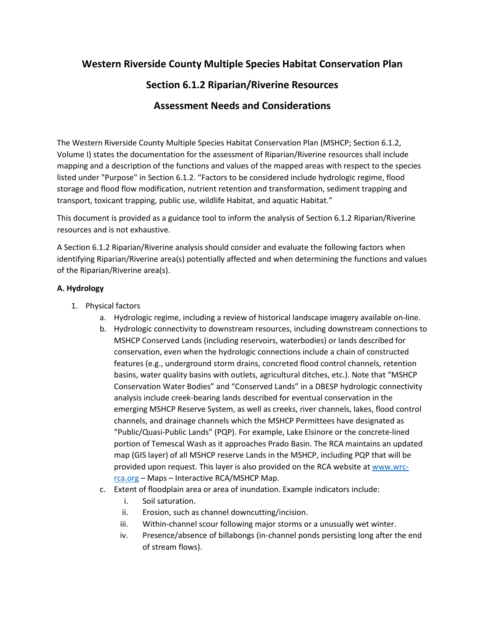# **Western Riverside County Multiple Species Habitat Conservation Plan**

## **Section 6.1.2 Riparian/Riverine Resources**

## **Assessment Needs and Considerations**

The Western Riverside County Multiple Species Habitat Conservation Plan (MSHCP; Section 6.1.2, Volume I) states the documentation for the assessment of Riparian/Riverine resources shall include mapping and a description of the functions and values of the mapped areas with respect to the species listed under "Purpose" in Section 6.1.2. "Factors to be considered include hydrologic regime, flood storage and flood flow modification, nutrient retention and transformation, sediment trapping and transport, toxicant trapping, public use, wildlife Habitat, and aquatic Habitat."

This document is provided as a guidance tool to inform the analysis of Section 6.1.2 Riparian/Riverine resources and is not exhaustive.

A Section 6.1.2 Riparian/Riverine analysis should consider and evaluate the following factors when identifying Riparian/Riverine area(s) potentially affected and when determining the functions and values of the Riparian/Riverine area(s).

#### **A. Hydrology**

- 1. Physical factors
	- a. Hydrologic regime, including a review of historical landscape imagery available on-line.
	- b. Hydrologic connectivity to downstream resources, including downstream connections to MSHCP Conserved Lands (including reservoirs, waterbodies) or lands described for conservation, even when the hydrologic connections include a chain of constructed features (e.g., underground storm drains, concreted flood control channels, retention basins, water quality basins with outlets, agricultural ditches, etc.). Note that "MSHCP Conservation Water Bodies" and "Conserved Lands" in a DBESP hydrologic connectivity analysis include creek-bearing lands described for eventual conservation in the emerging MSHCP Reserve System, as well as creeks, river channels, lakes, flood control channels, and drainage channels which the MSHCP Permittees have designated as "Public/Quasi-Public Lands" (PQP). For example, Lake Elsinore or the concrete-lined portion of Temescal Wash as it approaches Prado Basin. The RCA maintains an updated map (GIS layer) of all MSHCP reserve Lands in the MSHCP, including PQP that will be provided upon request. This layer is also provided on the RCA website at [www.wrc](http://www.wrc-rca.org/)[rca.org –](http://www.wrc-rca.org/) Maps – Interactive RCA/MSHCP Map.
	- c. Extent of floodplain area or area of inundation. Example indicators include:
		- i. Soil saturation.
		- ii. Erosion, such as channel downcutting/incision.
		- iii. Within-channel scour following major storms or a unusually wet winter.
		- iv. Presence/absence of billabongs (in-channel ponds persisting long after the end of stream flows).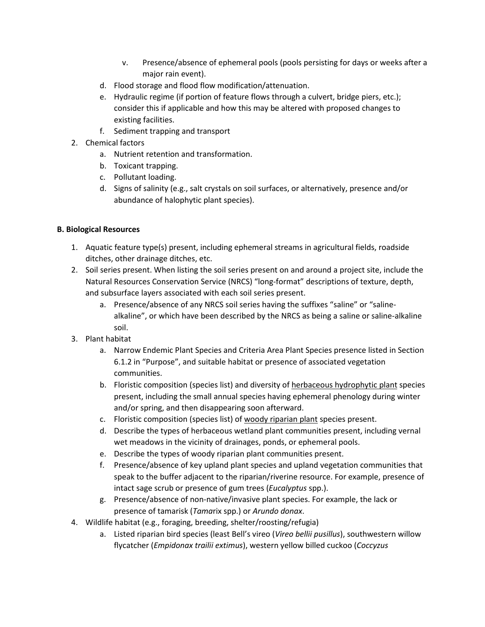- v. Presence/absence of ephemeral pools (pools persisting for days or weeks after a major rain event).
- d. Flood storage and flood flow modification/attenuation.
- e. Hydraulic regime (if portion of feature flows through a culvert, bridge piers, etc.); consider this if applicable and how this may be altered with proposed changes to existing facilities.
- f. Sediment trapping and transport
- 2. Chemical factors
	- a. Nutrient retention and transformation.
	- b. Toxicant trapping.
	- c. Pollutant loading.
	- d. Signs of salinity (e.g., salt crystals on soil surfaces, or alternatively, presence and/or abundance of halophytic plant species).

### **B. Biological Resources**

- 1. Aquatic feature type(s) present, including ephemeral streams in agricultural fields, roadside ditches, other drainage ditches, etc.
- 2. Soil series present. When listing the soil series present on and around a project site, include the Natural Resources Conservation Service (NRCS) "long-format" descriptions of texture, depth, and subsurface layers associated with each soil series present.
	- a. Presence/absence of any NRCS soil series having the suffixes "saline" or "salinealkaline", or which have been described by the NRCS as being a saline or saline-alkaline soil.
- 3. Plant habitat
	- a. Narrow Endemic Plant Species and Criteria Area Plant Species presence listed in Section 6.1.2 in "Purpose", and suitable habitat or presence of associated vegetation communities.
	- b. Floristic composition (species list) and diversity of herbaceous hydrophytic plant species present, including the small annual species having ephemeral phenology during winter and/or spring, and then disappearing soon afterward.
	- c. Floristic composition (species list) of woody riparian plant species present.
	- d. Describe the types of herbaceous wetland plant communities present, including vernal wet meadows in the vicinity of drainages, ponds, or ephemeral pools.
	- e. Describe the types of woody riparian plant communities present.
	- f. Presence/absence of key upland plant species and upland vegetation communities that speak to the buffer adjacent to the riparian/riverine resource. For example, presence of intact sage scrub or presence of gum trees (*Eucalyptus* spp.).
	- g. Presence/absence of non-native/invasive plant species. For example, the lack or presence of tamarisk (*Tama*rix spp.) or *Arundo donax*.
- 4. Wildlife habitat (e.g., foraging, breeding, shelter/roosting/refugia)
	- a. Listed riparian bird species (least Bell's vireo (*Vireo bellii pusillus*), southwestern willow flycatcher (*Empidonax trailii extimus*), western yellow billed cuckoo (*Coccyzus*